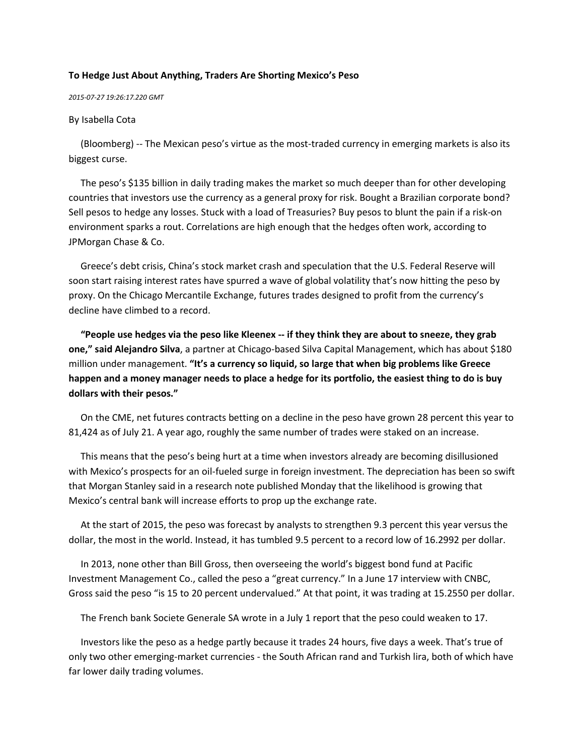## **To Hedge Just About Anything, Traders Are Shorting Mexico's Peso**

## *2015-07-27 19:26:17.220 GMT*

## By Isabella Cota

 (Bloomberg) -- The Mexican peso's virtue as the most-traded currency in emerging markets is also its biggest curse.

 The peso's \$135 billion in daily trading makes the market so much deeper than for other developing countries that investors use the currency as a general proxy for risk. Bought a Brazilian corporate bond? Sell pesos to hedge any losses. Stuck with a load of Treasuries? Buy pesos to blunt the pain if a risk-on environment sparks a rout. Correlations are high enough that the hedges often work, according to JPMorgan Chase & Co.

 Greece's debt crisis, China's stock market crash and speculation that the U.S. Federal Reserve will soon start raising interest rates have spurred a wave of global volatility that's now hitting the peso by proxy. On the Chicago Mercantile Exchange, futures trades designed to profit from the currency's decline have climbed to a record.

 **"People use hedges via the peso like Kleenex -- if they think they are about to sneeze, they grab one," said Alejandro Silva**, a partner at Chicago-based Silva Capital Management, which has about \$180 million under management. **"It's a currency so liquid, so large that when big problems like Greece happen and a money manager needs to place a hedge for its portfolio, the easiest thing to do is buy dollars with their pesos."**

 On the CME, net futures contracts betting on a decline in the peso have grown 28 percent this year to 81,424 as of July 21. A year ago, roughly the same number of trades were staked on an increase.

 This means that the peso's being hurt at a time when investors already are becoming disillusioned with Mexico's prospects for an oil-fueled surge in foreign investment. The depreciation has been so swift that Morgan Stanley said in a research note published Monday that the likelihood is growing that Mexico's central bank will increase efforts to prop up the exchange rate.

 At the start of 2015, the peso was forecast by analysts to strengthen 9.3 percent this year versus the dollar, the most in the world. Instead, it has tumbled 9.5 percent to a record low of 16.2992 per dollar.

 In 2013, none other than Bill Gross, then overseeing the world's biggest bond fund at Pacific Investment Management Co., called the peso a "great currency." In a June 17 interview with CNBC, Gross said the peso "is 15 to 20 percent undervalued." At that point, it was trading at 15.2550 per dollar.

The French bank Societe Generale SA wrote in a July 1 report that the peso could weaken to 17.

 Investors like the peso as a hedge partly because it trades 24 hours, five days a week. That's true of only two other emerging-market currencies - the South African rand and Turkish lira, both of which have far lower daily trading volumes.